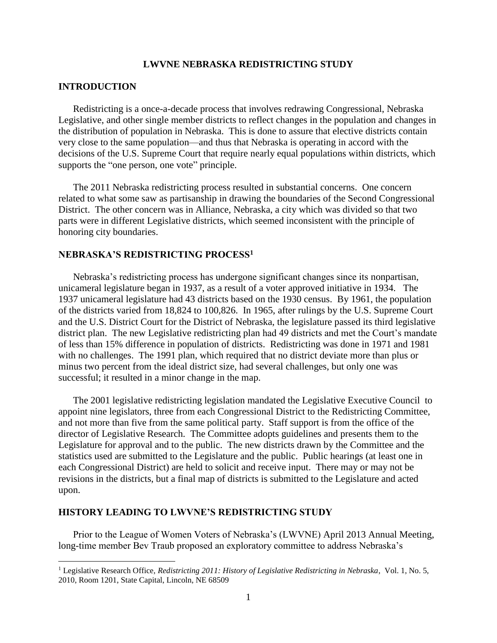### **LWVNE NEBRASKA REDISTRICTING STUDY**

### **INTRODUCTION**

 $\overline{a}$ 

Redistricting is a once-a-decade process that involves redrawing Congressional, Nebraska Legislative, and other single member districts to reflect changes in the population and changes in the distribution of population in Nebraska. This is done to assure that elective districts contain very close to the same population—and thus that Nebraska is operating in accord with the decisions of the U.S. Supreme Court that require nearly equal populations within districts, which supports the "one person, one vote" principle.

The 2011 Nebraska redistricting process resulted in substantial concerns. One concern related to what some saw as partisanship in drawing the boundaries of the Second Congressional District. The other concern was in Alliance, Nebraska, a city which was divided so that two parts were in different Legislative districts, which seemed inconsistent with the principle of honoring city boundaries.

# **NEBRASKA'S REDISTRICTING PROCESS<sup>1</sup>**

Nebraska's redistricting process has undergone significant changes since its nonpartisan, unicameral legislature began in 1937, as a result of a voter approved initiative in 1934. The 1937 unicameral legislature had 43 districts based on the 1930 census. By 1961, the population of the districts varied from 18,824 to 100,826. In 1965, after rulings by the U.S. Supreme Court and the U.S. District Court for the District of Nebraska, the legislature passed its third legislative district plan. The new Legislative redistricting plan had 49 districts and met the Court's mandate of less than 15% difference in population of districts. Redistricting was done in 1971 and 1981 with no challenges. The 1991 plan, which required that no district deviate more than plus or minus two percent from the ideal district size, had several challenges, but only one was successful; it resulted in a minor change in the map.

The 2001 legislative redistricting legislation mandated the Legislative Executive Council to appoint nine legislators, three from each Congressional District to the Redistricting Committee, and not more than five from the same political party. Staff support is from the office of the director of Legislative Research. The Committee adopts guidelines and presents them to the Legislature for approval and to the public. The new districts drawn by the Committee and the statistics used are submitted to the Legislature and the public. Public hearings (at least one in each Congressional District) are held to solicit and receive input. There may or may not be revisions in the districts, but a final map of districts is submitted to the Legislature and acted upon.

### **HISTORY LEADING TO LWVNE'S REDISTRICTING STUDY**

Prior to the League of Women Voters of Nebraska's (LWVNE) April 2013 Annual Meeting, long-time member Bev Traub proposed an exploratory committee to address Nebraska's

<sup>1</sup> Legislative Research Office, *Redistricting 2011: History of Legislative Redistricting in Nebraska*, Vol. 1, No. 5, 2010, Room 1201, State Capital, Lincoln, NE 68509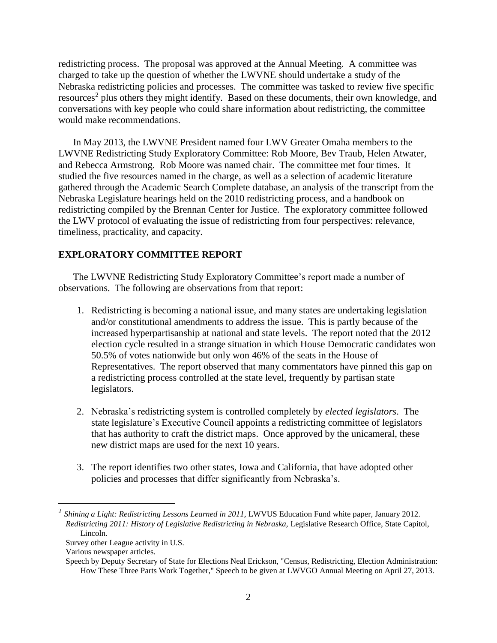redistricting process. The proposal was approved at the Annual Meeting. A committee was charged to take up the question of whether the LWVNE should undertake a study of the Nebraska redistricting policies and processes. The committee was tasked to review five specific resources<sup>2</sup> plus others they might identify. Based on these documents, their own knowledge, and conversations with key people who could share information about redistricting, the committee would make recommendations.

In May 2013, the LWVNE President named four LWV Greater Omaha members to the LWVNE Redistricting Study Exploratory Committee: Rob Moore, Bev Traub, Helen Atwater, and Rebecca Armstrong. Rob Moore was named chair. The committee met four times. It studied the five resources named in the charge, as well as a selection of academic literature gathered through the Academic Search Complete database, an analysis of the transcript from the Nebraska Legislature hearings held on the 2010 redistricting process, and a handbook on redistricting compiled by the Brennan Center for Justice. The exploratory committee followed the LWV protocol of evaluating the issue of redistricting from four perspectives: relevance, timeliness, practicality, and capacity.

# **EXPLORATORY COMMITTEE REPORT**

The LWVNE Redistricting Study Exploratory Committee's report made a number of observations. The following are observations from that report:

- 1. Redistricting is becoming a national issue, and many states are undertaking legislation and/or constitutional amendments to address the issue. This is partly because of the increased hyperpartisanship at national and state levels. The report noted that the 2012 election cycle resulted in a strange situation in which House Democratic candidates won 50.5% of votes nationwide but only won 46% of the seats in the House of Representatives. The report observed that many commentators have pinned this gap on a redistricting process controlled at the state level, frequently by partisan state legislators.
- 2. Nebraska's redistricting system is controlled completely by *elected legislators*. The state legislature's Executive Council appoints a redistricting committee of legislators that has authority to craft the district maps. Once approved by the unicameral, these new district maps are used for the next 10 years.
- 3. The report identifies two other states, Iowa and California, that have adopted other policies and processes that differ significantly from Nebraska's.

 $\overline{a}$ 

<sup>&</sup>lt;sup>2</sup> Shining a Light: Redistricting Lessons Learned in 2011, LWVUS Education Fund white paper, January 2012. *Redistricting 2011: History of Legislative Redistricting in Nebraska,* Legislative Research Office, State Capitol, Lincoln.

Survey other League activity in U.S.

Various newspaper articles.

Speech by Deputy Secretary of State for Elections Neal Erickson, "Census, Redistricting, Election Administration: How These Three Parts Work Together," Speech to be given at LWVGO Annual Meeting on April 27, 2013.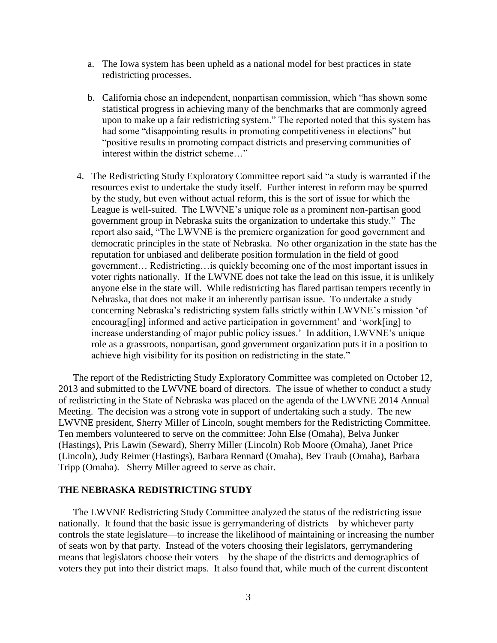- a. The Iowa system has been upheld as a national model for best practices in state redistricting processes.
- b. California chose an independent, nonpartisan commission, which "has shown some statistical progress in achieving many of the benchmarks that are commonly agreed upon to make up a fair redistricting system." The reported noted that this system has had some "disappointing results in promoting competitiveness in elections" but "positive results in promoting compact districts and preserving communities of interest within the district scheme…"
- 4. The Redistricting Study Exploratory Committee report said "a study is warranted if the resources exist to undertake the study itself. Further interest in reform may be spurred by the study, but even without actual reform, this is the sort of issue for which the League is well-suited. The LWVNE's unique role as a prominent non-partisan good government group in Nebraska suits the organization to undertake this study." The report also said, "The LWVNE is the premiere organization for good government and democratic principles in the state of Nebraska. No other organization in the state has the reputation for unbiased and deliberate position formulation in the field of good government… Redistricting…is quickly becoming one of the most important issues in voter rights nationally. If the LWVNE does not take the lead on this issue, it is unlikely anyone else in the state will. While redistricting has flared partisan tempers recently in Nebraska, that does not make it an inherently partisan issue. To undertake a study concerning Nebraska's redistricting system falls strictly within LWVNE's mission 'of encourag[ing] informed and active participation in government' and 'work[ing] to increase understanding of major public policy issues.' In addition, LWVNE's unique role as a grassroots, nonpartisan, good government organization puts it in a position to achieve high visibility for its position on redistricting in the state."

The report of the Redistricting Study Exploratory Committee was completed on October 12, 2013 and submitted to the LWVNE board of directors. The issue of whether to conduct a study of redistricting in the State of Nebraska was placed on the agenda of the LWVNE 2014 Annual Meeting. The decision was a strong vote in support of undertaking such a study. The new LWVNE president, Sherry Miller of Lincoln, sought members for the Redistricting Committee. Ten members volunteered to serve on the committee: John Else (Omaha), Belva Junker (Hastings), Pris Lawin (Seward), Sherry Miller (Lincoln) Rob Moore (Omaha), Janet Price (Lincoln), Judy Reimer (Hastings), Barbara Rennard (Omaha), Bev Traub (Omaha), Barbara Tripp (Omaha). Sherry Miller agreed to serve as chair.

#### **THE NEBRASKA REDISTRICTING STUDY**

The LWVNE Redistricting Study Committee analyzed the status of the redistricting issue nationally. It found that the basic issue is gerrymandering of districts—by whichever party controls the state legislature—to increase the likelihood of maintaining or increasing the number of seats won by that party. Instead of the voters choosing their legislators, gerrymandering means that legislators choose their voters—by the shape of the districts and demographics of voters they put into their district maps. It also found that, while much of the current discontent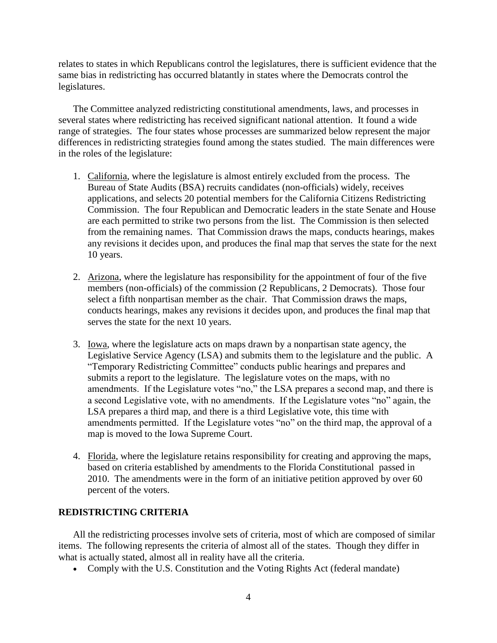relates to states in which Republicans control the legislatures, there is sufficient evidence that the same bias in redistricting has occurred blatantly in states where the Democrats control the legislatures.

The Committee analyzed redistricting constitutional amendments, laws, and processes in several states where redistricting has received significant national attention. It found a wide range of strategies. The four states whose processes are summarized below represent the major differences in redistricting strategies found among the states studied. The main differences were in the roles of the legislature:

- 1. California, where the legislature is almost entirely excluded from the process. The Bureau of State Audits (BSA) recruits candidates (non-officials) widely, receives applications, and selects 20 potential members for the California Citizens Redistricting Commission. The four Republican and Democratic leaders in the state Senate and House are each permitted to strike two persons from the list. The Commission is then selected from the remaining names. That Commission draws the maps, conducts hearings, makes any revisions it decides upon, and produces the final map that serves the state for the next 10 years.
- 2. Arizona, where the legislature has responsibility for the appointment of four of the five members (non-officials) of the commission (2 Republicans, 2 Democrats). Those four select a fifth nonpartisan member as the chair. That Commission draws the maps, conducts hearings, makes any revisions it decides upon, and produces the final map that serves the state for the next 10 years.
- 3. Iowa, where the legislature acts on maps drawn by a nonpartisan state agency, the Legislative Service Agency (LSA) and submits them to the legislature and the public. A "Temporary Redistricting Committee" conducts public hearings and prepares and submits a report to the legislature. The legislature votes on the maps, with no amendments. If the Legislature votes "no," the LSA prepares a second map, and there is a second Legislative vote, with no amendments. If the Legislature votes "no" again, the LSA prepares a third map, and there is a third Legislative vote, this time with amendments permitted. If the Legislature votes "no" on the third map, the approval of a map is moved to the Iowa Supreme Court.
- 4. Florida, where the legislature retains responsibility for creating and approving the maps, based on criteria established by amendments to the Florida Constitutional passed in 2010. The amendments were in the form of an initiative petition approved by over 60 percent of the voters.

## **REDISTRICTING CRITERIA**

All the redistricting processes involve sets of criteria, most of which are composed of similar items. The following represents the criteria of almost all of the states. Though they differ in what is actually stated, almost all in reality have all the criteria.

• Comply with the U.S. Constitution and the Voting Rights Act (federal mandate)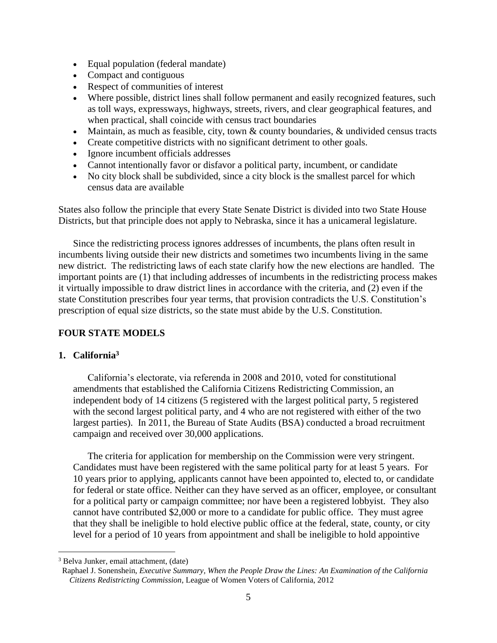- Equal population (federal mandate)
- Compact and contiguous
- Respect of communities of interest
- Where possible, district lines shall follow permanent and easily recognized features, such as toll ways, expressways, highways, streets, rivers, and clear geographical features, and when practical, shall coincide with census tract boundaries
- Maintain, as much as feasible, city, town  $\&$  county boundaries,  $\&$  undivided census tracts
- Create competitive districts with no significant detriment to other goals.
- Ignore incumbent officials addresses
- Cannot intentionally favor or disfavor a political party, incumbent, or candidate
- No city block shall be subdivided, since a city block is the smallest parcel for which census data are available

States also follow the principle that every State Senate District is divided into two State House Districts, but that principle does not apply to Nebraska, since it has a unicameral legislature.

Since the redistricting process ignores addresses of incumbents, the plans often result in incumbents living outside their new districts and sometimes two incumbents living in the same new district. The redistricting laws of each state clarify how the new elections are handled. The important points are (1) that including addresses of incumbents in the redistricting process makes it virtually impossible to draw district lines in accordance with the criteria, and (2) even if the state Constitution prescribes four year terms, that provision contradicts the U.S. Constitution's prescription of equal size districts, so the state must abide by the U.S. Constitution.

# **FOUR STATE MODELS**

## **1. California<sup>3</sup>**

California's electorate, via referenda in 2008 and 2010, voted for constitutional amendments that established the California Citizens Redistricting Commission, an independent body of 14 citizens (5 registered with the largest political party, 5 registered with the second largest political party, and 4 who are not registered with either of the two largest parties). In 2011, the Bureau of State Audits (BSA) conducted a broad recruitment campaign and received over 30,000 applications.

The criteria for application for membership on the Commission were very stringent. Candidates must have been registered with the same political party for at least 5 years. For 10 years prior to applying, applicants cannot have been appointed to, elected to, or candidate for federal or state office. Neither can they have served as an officer, employee, or consultant for a political party or campaign committee; nor have been a registered lobbyist. They also cannot have contributed \$2,000 or more to a candidate for public office. They must agree that they shall be ineligible to hold elective public office at the federal, state, county, or city level for a period of 10 years from appointment and shall be ineligible to hold appointive

 $\overline{a}$ 

<sup>3</sup> Belva Junker, email attachment, (date)

Raphael J. Sonenshein, *Executive Summary, When the People Draw the Lines: An Examination of the California Citizens Redistricting Commission*, League of Women Voters of California, 2012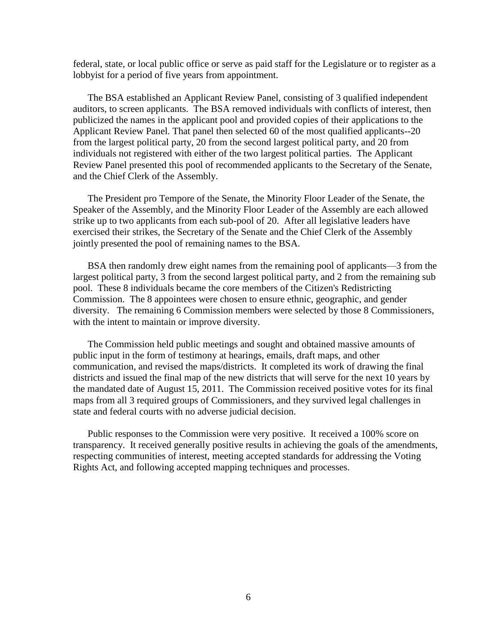federal, state, or local public office or serve as paid staff for the Legislature or to register as a lobbyist for a period of five years from appointment.

The BSA established an Applicant Review Panel, consisting of 3 qualified independent auditors, to screen applicants. The BSA removed individuals with conflicts of interest, then publicized the names in the applicant pool and provided copies of their applications to the Applicant Review Panel. That panel then selected 60 of the most qualified applicants--20 from the largest political party, 20 from the second largest political party, and 20 from individuals not registered with either of the two largest political parties. The Applicant Review Panel presented this pool of recommended applicants to the Secretary of the Senate, and the Chief Clerk of the Assembly.

The President pro Tempore of the Senate, the Minority Floor Leader of the Senate, the Speaker of the Assembly, and the Minority Floor Leader of the Assembly are each allowed strike up to two applicants from each sub-pool of 20. After all legislative leaders have exercised their strikes, the Secretary of the Senate and the Chief Clerk of the Assembly jointly presented the pool of remaining names to the BSA.

BSA then randomly drew eight names from the remaining pool of applicants—3 from the largest political party, 3 from the second largest political party, and 2 from the remaining sub pool. These 8 individuals became the core members of the Citizen's Redistricting Commission. The 8 appointees were chosen to ensure ethnic, geographic, and gender diversity. The remaining 6 Commission members were selected by those 8 Commissioners, with the intent to maintain or improve diversity.

The Commission held public meetings and sought and obtained massive amounts of public input in the form of testimony at hearings, emails, draft maps, and other communication, and revised the maps/districts. It completed its work of drawing the final districts and issued the final map of the new districts that will serve for the next 10 years by the mandated date of August 15, 2011. The Commission received positive votes for its final maps from all 3 required groups of Commissioners, and they survived legal challenges in state and federal courts with no adverse judicial decision.

Public responses to the Commission were very positive. It received a 100% score on transparency. It received generally positive results in achieving the goals of the amendments, respecting communities of interest, meeting accepted standards for addressing the Voting Rights Act, and following accepted mapping techniques and processes.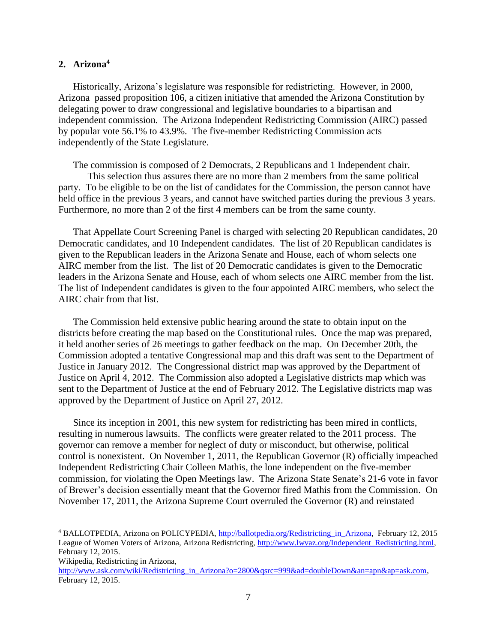# **2. Arizona<sup>4</sup>**

Historically, Arizona's legislature was responsible for redistricting. However, in 2000, Arizona passed proposition 106, a citizen initiative that amended the Arizona Constitution by delegating power to draw congressional and legislative boundaries to a bipartisan and independent commission. The Arizona Independent Redistricting Commission (AIRC) passed by popular vote 56.1% to 43.9%. The five-member Redistricting Commission acts independently of the State Legislature.

The commission is composed of 2 Democrats, 2 Republicans and 1 Independent chair. This selection thus assures there are no more than 2 members from the same political party. To be eligible to be on the list of candidates for the Commission, the person cannot have held office in the previous 3 years, and cannot have switched parties during the previous 3 years. Furthermore, no more than 2 of the first 4 members can be from the same county.

That Appellate Court Screening Panel is charged with selecting 20 Republican candidates, 20 Democratic candidates, and 10 Independent candidates. The list of 20 Republican candidates is given to the Republican leaders in the Arizona Senate and House, each of whom selects one AIRC member from the list. The list of 20 Democratic candidates is given to the Democratic leaders in the Arizona Senate and House, each of whom selects one AIRC member from the list. The list of Independent candidates is given to the four appointed AIRC members, who select the AIRC chair from that list.

The Commission held extensive public hearing around the state to obtain input on the districts before creating the map based on the Constitutional rules. Once the map was prepared, it held another series of 26 meetings to gather feedback on the map. On December 20th, the Commission adopted a tentative Congressional map and this draft was sent to the Department of Justice in January 2012. The Congressional district map was approved by the Department of Justice on April 4, 2012. The Commission also adopted a Legislative districts map which was sent to the Department of Justice at the end of February 2012. The Legislative districts map was approved by the Department of Justice on April 27, 2012.

Since its inception in 2001, this new system for redistricting has been mired in conflicts, resulting in numerous lawsuits. The conflicts were greater related to the 2011 process. The governor can remove a member for neglect of duty or misconduct, but otherwise, political control is nonexistent. On November 1, 2011, the Republican Governor (R) officially impeached Independent Redistricting Chair Colleen Mathis, the lone independent on the five-member commission, for violating the Open Meetings law. The [Arizona State Senate'](http://ballotpedia.org/Arizona_State_Senate)s 21-6 vote in favor of Brewer's decision essentially meant that the Governor fired Mathis from the Commission. On November 17, 2011, the [Arizona Supreme Court](http://judgepedia.org/Arizona_Supreme_Court) overruled the [Governor](http://ballotpedia.org/Governor_of_Arizona) (R) and reinstated

 $\overline{a}$ 

<sup>4</sup> BALLOTPEDIA, Arizona on POLICYPEDIA, [http://ballotpedia.org/Redistricting\\_in\\_Arizona,](http://ballotpedia.org/Redistricting_in_Arizona) February 12, 2015 League of Women Voters of Arizona, Arizona Redistricting, [http://www.lwvaz.org/Independent\\_Redistricting.html,](http://www.lwvaz.org/Independent_Redistricting.html) February 12, 2015.

Wikipedia, Redistricting in Arizona,

[http://www.ask.com/wiki/Redistricting\\_in\\_Arizona?o=2800&qsrc=999&ad=doubleDown&an=apn&ap=ask.com,](http://www.ask.com/wiki/Redistricting_in_Arizona?o=2800&qsrc=999&ad=doubleDown&an=apn&ap=ask.com) February 12, 2015.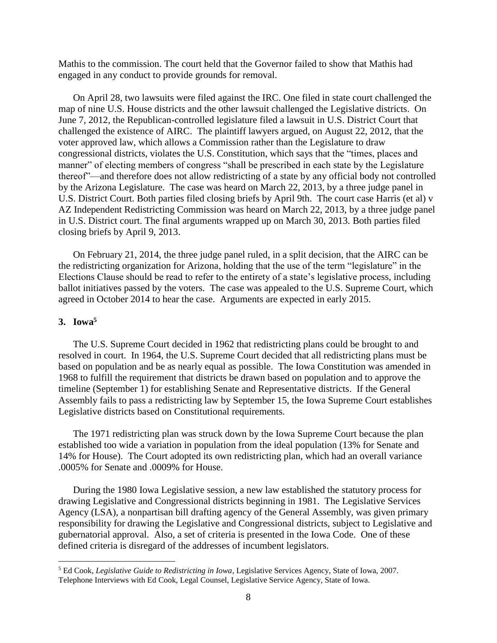Mathis to the commission. The court held that the Governor failed to show that Mathis had engaged in any conduct to provide grounds for removal.

On April 28, two lawsuits were filed against the IRC. One filed in state court challenged the map of nine U.S. House districts and the other lawsuit challenged the Legislative districts. On June 7, 2012, the Republican-controlled legislature filed a lawsuit in U.S. District Court that challenged the existence of AIRC. The plaintiff lawyers argued, on August 22, 2012, that the voter approved law, which allows a Commission rather than the Legislature to draw congressional districts, violates the U.S. Constitution, which says that the "times, places and manner" of electing members of congress "shall be prescribed in each state by the Legislature thereof"—and therefore does not allow redistricting of a state by any official body not controlled by the Arizona Legislature. The case was heard on March 22, 2013, by a three judge panel in U.S. District Court. Both parties filed closing briefs by April 9th. The court case Harris (et al) v AZ Independent Redistricting Commission was heard on March 22, 2013, by a three judge panel in U.S. District court. The final arguments wrapped up on March 30, 2013. Both parties filed closing briefs by April 9, 2013.

On February 21, 2014, the three judge panel ruled, in a split decision, that the AIRC can be the redistricting organization for Arizona, holding that the use of the term "legislature" in the Elections Clause should be read to refer to the entirety of a state's legislative process, including ballot initiatives passed by the voters. The case was appealed to the U.S. Supreme Court, which agreed in October 2014 to hear the case. Arguments are expected in early 2015.

## **3. Iowa<sup>5</sup>**

 $\overline{a}$ 

The U.S. Supreme Court decided in 1962 that redistricting plans could be brought to and resolved in court. In 1964, the U.S. Supreme Court decided that all redistricting plans must be based on population and be as nearly equal as possible. The Iowa Constitution was amended in 1968 to fulfill the requirement that districts be drawn based on population and to approve the timeline (September 1) for establishing Senate and Representative districts. If the General Assembly fails to pass a redistricting law by September 15, the Iowa Supreme Court establishes Legislative districts based on Constitutional requirements.

The 1971 redistricting plan was struck down by the Iowa Supreme Court because the plan established too wide a variation in population from the ideal population (13% for Senate and 14% for House). The Court adopted its own redistricting plan, which had an overall variance .0005% for Senate and .0009% for House.

During the 1980 Iowa Legislative session, a new law established the statutory process for drawing Legislative and Congressional districts beginning in 1981. The Legislative Services Agency (LSA), a nonpartisan bill drafting agency of the General Assembly, was given primary responsibility for drawing the Legislative and Congressional districts, subject to Legislative and gubernatorial approval. Also, a set of criteria is presented in the Iowa Code. One of these defined criteria is disregard of the addresses of incumbent legislators.

<sup>5</sup> Ed Cook, *Legislative Guide to Redistricting in Iowa*, Legislative Services Agency, State of Iowa, 2007. Telephone Interviews with Ed Cook, Legal Counsel, Legislative Service Agency, State of Iowa.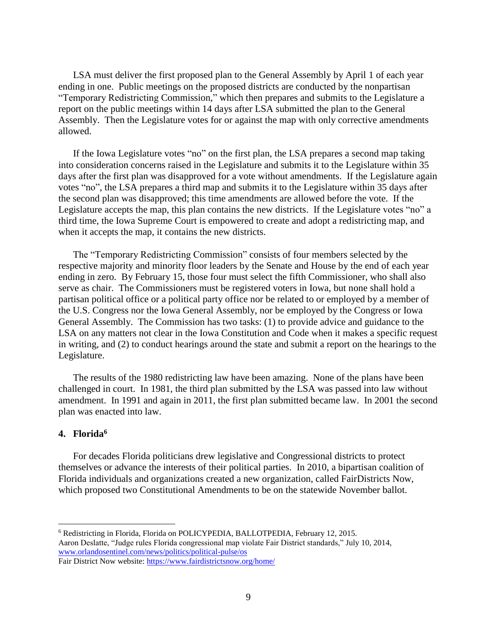LSA must deliver the first proposed plan to the General Assembly by April 1 of each year ending in one. Public meetings on the proposed districts are conducted by the nonpartisan "Temporary Redistricting Commission," which then prepares and submits to the Legislature a report on the public meetings within 14 days after LSA submitted the plan to the General Assembly. Then the Legislature votes for or against the map with only corrective amendments allowed.

If the Iowa Legislature votes "no" on the first plan, the LSA prepares a second map taking into consideration concerns raised in the Legislature and submits it to the Legislature within 35 days after the first plan was disapproved for a vote without amendments. If the Legislature again votes "no", the LSA prepares a third map and submits it to the Legislature within 35 days after the second plan was disapproved; this time amendments are allowed before the vote. If the Legislature accepts the map, this plan contains the new districts. If the Legislature votes "no" a third time, the Iowa Supreme Court is empowered to create and adopt a redistricting map, and when it accepts the map, it contains the new districts.

The "Temporary Redistricting Commission" consists of four members selected by the respective majority and minority floor leaders by the Senate and House by the end of each year ending in zero. By February 15, those four must select the fifth Commissioner, who shall also serve as chair. The Commissioners must be registered voters in Iowa, but none shall hold a partisan political office or a political party office nor be related to or employed by a member of the U.S. Congress nor the Iowa General Assembly, nor be employed by the Congress or Iowa General Assembly. The Commission has two tasks: (1) to provide advice and guidance to the LSA on any matters not clear in the Iowa Constitution and Code when it makes a specific request in writing, and (2) to conduct hearings around the state and submit a report on the hearings to the Legislature.

The results of the 1980 redistricting law have been amazing. None of the plans have been challenged in court. In 1981, the third plan submitted by the LSA was passed into law without amendment. In 1991 and again in 2011, the first plan submitted became law. In 2001 the second plan was enacted into law.

## **4. Florida<sup>6</sup>**

 $\overline{a}$ 

For decades Florida politicians drew legislative and Congressional districts to protect themselves or advance the interests of their political parties. In 2010, a bipartisan coalition of Florida individuals and organizations created a new organization, called FairDistricts Now, which proposed two Constitutional Amendments to be on the statewide November ballot.

<sup>6</sup> Redistricting in Florida, Florida on POLICYPEDIA, BALLOTPEDIA, February 12, 2015. Aaron Deslatte, "Judge rules Florida congressional map violate Fair District standards," July 10, 2014, [www.orlandosentinel.com/news/politics/political-pulse/os](http://www.orlandosentinel.com/news/politics/political-pulse/os) Fair District Now website:<https://www.fairdistrictsnow.org/home/>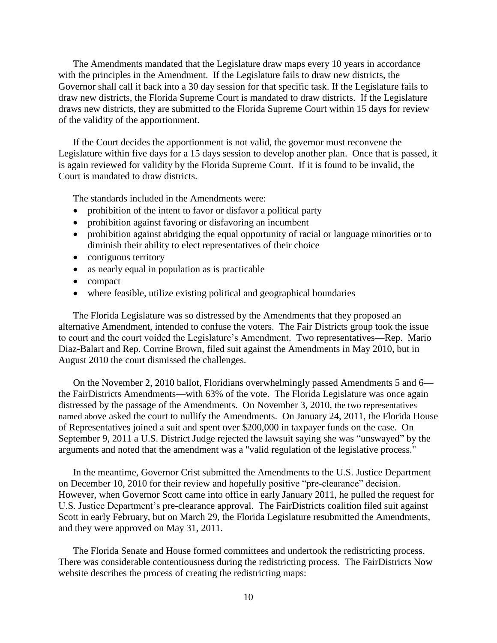The Amendments mandated that the Legislature draw maps every 10 years in accordance with the principles in the Amendment. If the Legislature fails to draw new districts, the Governor shall call it back into a 30 day session for that specific task. If the Legislature fails to draw new districts, the Florida Supreme Court is mandated to draw districts. If the Legislature draws new districts, they are submitted to the Florida Supreme Court within 15 days for review of the validity of the apportionment.

If the Court decides the apportionment is not valid, the governor must reconvene the Legislature within five days for a 15 days session to develop another plan. Once that is passed, it is again reviewed for validity by the Florida Supreme Court. If it is found to be invalid, the Court is mandated to draw districts.

The standards included in the Amendments were:

- prohibition of the intent to favor or disfavor a political party
- prohibition against favoring or disfavoring an incumbent
- prohibition against abridging the equal opportunity of racial or language minorities or to diminish their ability to elect representatives of their choice
- contiguous territory
- as nearly equal in population as is practicable
- compact
- where feasible, utilize existing political and geographical boundaries

The Florida Legislature was so distressed by the Amendments that they proposed an alternative Amendment, intended to confuse the voters. The Fair Districts group took the issue to court and the court voided the Legislature's Amendment. Two representatives—Rep. [Mario](http://ballotpedia.org/Mario_Diaz-Balart)  [Diaz-Balart](http://ballotpedia.org/Mario_Diaz-Balart) and [Rep. Corrine Brown,](http://ballotpedia.org/Corrine_Brown) filed suit against the Amendments in May 2010, but in August 2010 the court dismissed the challenges.

On the November 2, 2010 ballot, Floridians overwhelmingly passed Amendments 5 and 6 the FairDistricts Amendments—with 63% of the vote. The Florida Legislature was once again distressed by the passage of the Amendments. On November 3, 2010, the two representatives named above asked the court to nullify the Amendments. On January 24, 2011, the Florida House of Representatives joined a suit and spent over \$200,000 in taxpayer funds on the case. On [September 9, 2011](http://ballotpedia.org/BC2011#September) a [U.S. District](http://judgepedia.org/United_States_District_Court_for_the_Southern_District_of_Florida) [Judge r](http://judgepedia.org/Ursula_Ungaro)ejected the lawsuit saying she was "unswayed" by the arguments and noted that the amendment was a "valid regulation of the legislative process."

In the meantime, Governor Crist submitted the Amendments to the U.S. Justice Department on December 10, 2010 for their review and hopefully positive "pre-clearance" decision. However, when Governor Scott came into office in early January 2011, he pulled the request for U.S. Justice Department's pre-clearance approval. The FairDistricts coalition filed suit against Scott in early February, but on March 29, the Florida Legislature resubmitted the Amendments, and they were approved on May 31, 2011.

The Florida Senate and House formed committees and undertook the redistricting process. There was considerable contentiousness during the redistricting process. The FairDistricts Now website describes the process of creating the redistricting maps: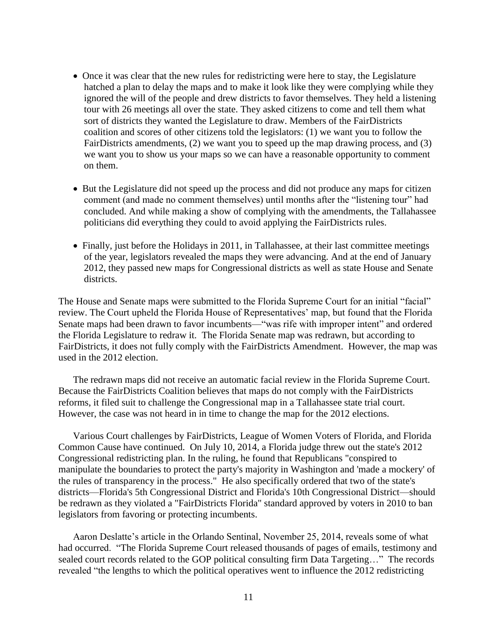- Once it was clear that the new rules for redistricting were here to stay, the Legislature hatched a plan to delay the maps and to make it look like they were complying while they ignored the will of the people and drew districts to favor themselves. They held a listening tour with 26 meetings all over the state. They asked citizens to come and tell them what sort of districts they wanted the Legislature to draw. Members of the FairDistricts coalition and scores of other citizens told the legislators: (1) we want you to follow the FairDistricts amendments, (2) we want you to speed up the map drawing process, and (3) we want you to show us your maps so we can have a reasonable opportunity to comment on them.
- But the Legislature did not speed up the process and did not produce any maps for citizen comment (and made no comment themselves) until months after the "listening tour" had concluded. And while making a show of complying with the amendments, the Tallahassee politicians did everything they could to avoid applying the FairDistricts rules.
- Finally, just before the Holidays in 2011, in Tallahassee, at their last committee meetings of the year, legislators revealed the maps they were advancing. And at the end of January 2012, they passed new maps for Congressional districts as well as state House and Senate districts.

The House and Senate maps were submitted to the Florida Supreme Court for an initial "facial" review. The Court upheld the Florida House of Representatives' map, but found that the Florida Senate maps had been drawn to favor incumbents—"was rife with improper intent" and ordered the Florida Legislature to redraw it. The Florida Senate map was redrawn, but according to FairDistricts, it does not fully comply with the FairDistricts Amendment. However, the map was used in the 2012 election.

The redrawn maps did not receive an automatic facial review in the Florida Supreme Court. Because the FairDistricts Coalition believes that maps do not comply with the FairDistricts reforms, it filed suit to challenge the Congressional map in a Tallahassee state trial court. However, the case was not heard in in time to change the map for the 2012 elections.

Various Court challenges by FairDistricts, League of Women Voters of Florida, and Florida Common Cause have continued. On July 10, 2014, a Florida judge threw out the state's 2012 Congressional redistricting plan. In the ruling, he found that [Republicans](http://ballotpedia.org/Republicans) "conspired to manipulate the boundaries to protect the party's majority in Washington and 'made a mockery' of the rules of transparency in the process." He also specifically ordered that two of the state's districts—[Florida's 5th Congressional District](http://ballotpedia.org/Florida%27s_5th_Congressional_District) and [Florida's 10th Congressional District—](http://ballotpedia.org/Florida%27s_10th_Congressional_District)should be redrawn as they violated a "FairDistricts Florida" standard approved by voters in 2010 to ban legislators from favoring or protecting incumbents.

Aaron Deslatte's article in the Orlando Sentinal, November 25, 2014, reveals some of what had occurred. "The Florida Supreme Court released thousands of pages of emails, testimony and sealed court records related to the GOP political consulting firm Data Targeting…" The records revealed "the lengths to which the political operatives went to influence the 2012 redistricting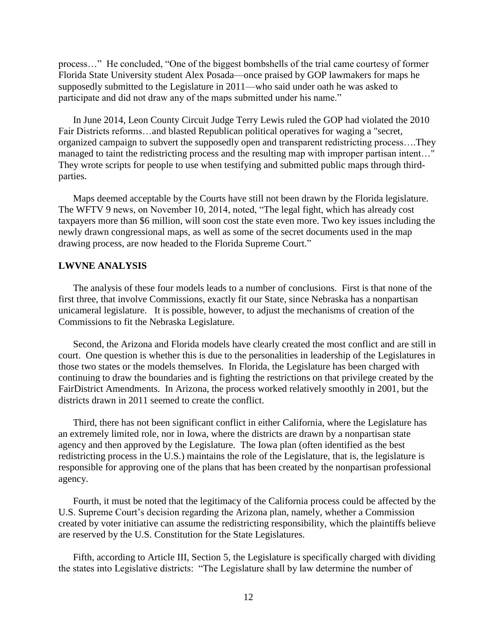process…" He concluded, "One of the biggest bombshells of the trial came courtesy of former Florida State University student Alex Posada—once praised by GOP lawmakers for maps he supposedly submitted to the Legislature in 2011—who said under oath he was asked to participate and did not draw any of the maps submitted under his name."

In June 2014, Leon County Circuit Judge Terry Lewis ruled the GOP had violated the 2010 Fair Districts reforms…and blasted Republican political operatives for waging a "secret, organized campaign to subvert the supposedly open and transparent redistricting process….They managed to taint the redistricting process and the resulting map with improper partisan intent…" They wrote scripts for people to use when testifying and submitted public maps through thirdparties.

Maps deemed acceptable by the Courts have still not been drawn by the Florida legislature. The WFTV 9 news, on November 10, 2014, noted, "The legal fight, which has already cost taxpayers more than \$6 million, will soon cost the state even more. Two key issues including the newly drawn congressional maps, as well as some of the secret documents used in the map drawing process, are now headed to the Florida Supreme Court."

### **LWVNE ANALYSIS**

The analysis of these four models leads to a number of conclusions. First is that none of the first three, that involve Commissions, exactly fit our State, since Nebraska has a nonpartisan unicameral legislature. It is possible, however, to adjust the mechanisms of creation of the Commissions to fit the Nebraska Legislature.

Second, the Arizona and Florida models have clearly created the most conflict and are still in court. One question is whether this is due to the personalities in leadership of the Legislatures in those two states or the models themselves. In Florida, the Legislature has been charged with continuing to draw the boundaries and is fighting the restrictions on that privilege created by the FairDistrict Amendments. In Arizona, the process worked relatively smoothly in 2001, but the districts drawn in 2011 seemed to create the conflict.

Third, there has not been significant conflict in either California, where the Legislature has an extremely limited role, nor in Iowa, where the districts are drawn by a nonpartisan state agency and then approved by the Legislature. The Iowa plan (often identified as the best redistricting process in the U.S.) maintains the role of the Legislature, that is, the legislature is responsible for approving one of the plans that has been created by the nonpartisan professional agency.

Fourth, it must be noted that the legitimacy of the California process could be affected by the U.S. Supreme Court's decision regarding the Arizona plan, namely, whether a Commission created by voter initiative can assume the redistricting responsibility, which the plaintiffs believe are reserved by the U.S. Constitution for the State Legislatures.

Fifth, according to Article III, Section 5, the Legislature is specifically charged with dividing the states into Legislative districts: "The Legislature shall by law determine the number of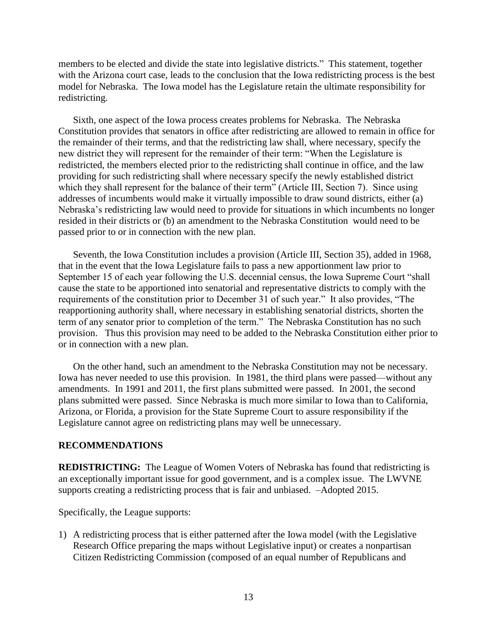members to be elected and divide the state into legislative districts." This statement, together with the Arizona court case, leads to the conclusion that the Iowa redistricting process is the best model for Nebraska. The Iowa model has the Legislature retain the ultimate responsibility for redistricting.

Sixth, one aspect of the Iowa process creates problems for Nebraska. The Nebraska Constitution provides that senators in office after redistricting are allowed to remain in office for the remainder of their terms, and that the redistricting law shall, where necessary, specify the new district they will represent for the remainder of their term: "When the Legislature is redistricted, the members elected prior to the redistricting shall continue in office, and the law providing for such redistricting shall where necessary specify the newly established district which they shall represent for the balance of their term" (Article III, Section 7). Since using addresses of incumbents would make it virtually impossible to draw sound districts, either (a) Nebraska's redistricting law would need to provide for situations in which incumbents no longer resided in their districts or (b) an amendment to the Nebraska Constitution would need to be passed prior to or in connection with the new plan.

Seventh, the Iowa Constitution includes a provision (Article III, Section 35), added in 1968, that in the event that the Iowa Legislature fails to pass a new apportionment law prior to September 15 of each year following the U.S. decennial census, the Iowa Supreme Court "shall cause the state to be apportioned into senatorial and representative districts to comply with the requirements of the constitution prior to December 31 of such year." It also provides, "The reapportioning authority shall, where necessary in establishing senatorial districts, shorten the term of any senator prior to completion of the term." The Nebraska Constitution has no such provision. Thus this provision may need to be added to the Nebraska Constitution either prior to or in connection with a new plan.

On the other hand, such an amendment to the Nebraska Constitution may not be necessary. Iowa has never needed to use this provision. In 1981, the third plans were passed—without any amendments. In 1991 and 2011, the first plans submitted were passed. In 2001, the second plans submitted were passed. Since Nebraska is much more similar to Iowa than to California, Arizona, or Florida, a provision for the State Supreme Court to assure responsibility if the Legislature cannot agree on redistricting plans may well be unnecessary.

### **RECOMMENDATIONS**

**REDISTRICTING:** The League of Women Voters of Nebraska has found that redistricting is an exceptionally important issue for good government, and is a complex issue. The LWVNE supports creating a redistricting process that is fair and unbiased. –Adopted 2015.

Specifically, the League supports:

1) A redistricting process that is either patterned after the Iowa model (with the Legislative Research Office preparing the maps without Legislative input) or creates a nonpartisan Citizen Redistricting Commission (composed of an equal number of Republicans and